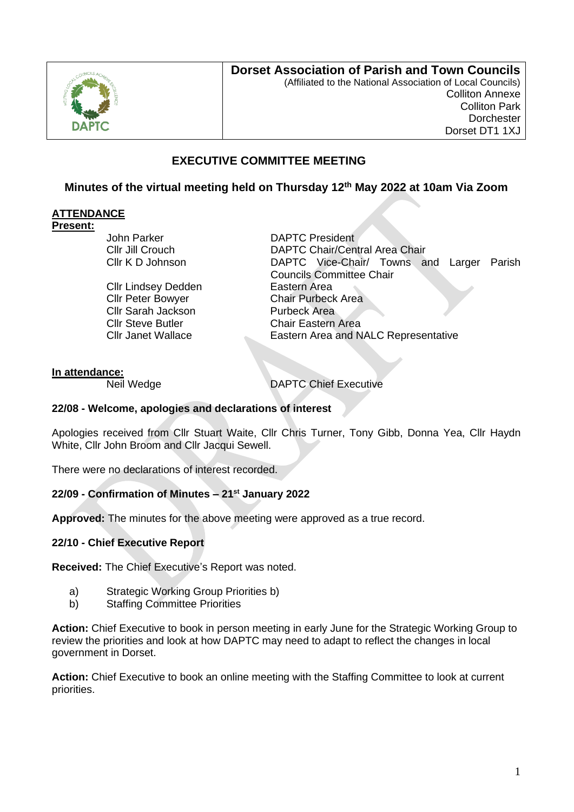

# **Dorset Association of Parish and Town Councils**

(Affiliated to the National Association of Local Councils) Colliton Annexe Colliton Park **Dorchester** Dorset DT1 1XJ

# **EXECUTIVE COMMITTEE MEETING**

# **Minutes of the virtual meeting held on Thursday 12th May 2022 at 10am Via Zoom**

## **ATTENDANCE**

### **Present:**

John Parker **DAPTC** President

Cllr Lindsey Dedden **Eastern** Area Cllr Sarah Jackson<br>Cllr Steve Butler **Chair Fastern** Cllr Steve Butler Chair Eastern Area<br>Cllr Janet Wallace Cllr Eastern Area and N

Cllr Jill Crouch DAPTC Chair/Central Area Chair Cllr K D Johnson DAPTC Vice-Chair/ Towns and Larger Parish Councils Committee Chair Cllr Peter Bowyer Chair Purbeck Area Eastern Area and NALC Representative

## **In attendance:**

Neil Wedge **DAPTC** Chief Executive

#### **22/08 - Welcome, apologies and declarations of interest**

Apologies received from Cllr Stuart Waite, Cllr Chris Turner, Tony Gibb, Donna Yea, Cllr Haydn White, Cllr John Broom and Cllr Jacqui Sewell.

There were no declarations of interest recorded.

## **22/09 - Confirmation of Minutes – 21st January 2022**

**Approved:** The minutes for the above meeting were approved as a true record.

## **22/10 - Chief Executive Report**

**Received:** The Chief Executive's Report was noted.

- a) Strategic Working Group Priorities b)
- b) Staffing Committee Priorities

**Action:** Chief Executive to book in person meeting in early June for the Strategic Working Group to review the priorities and look at how DAPTC may need to adapt to reflect the changes in local government in Dorset.

**Action:** Chief Executive to book an online meeting with the Staffing Committee to look at current priorities.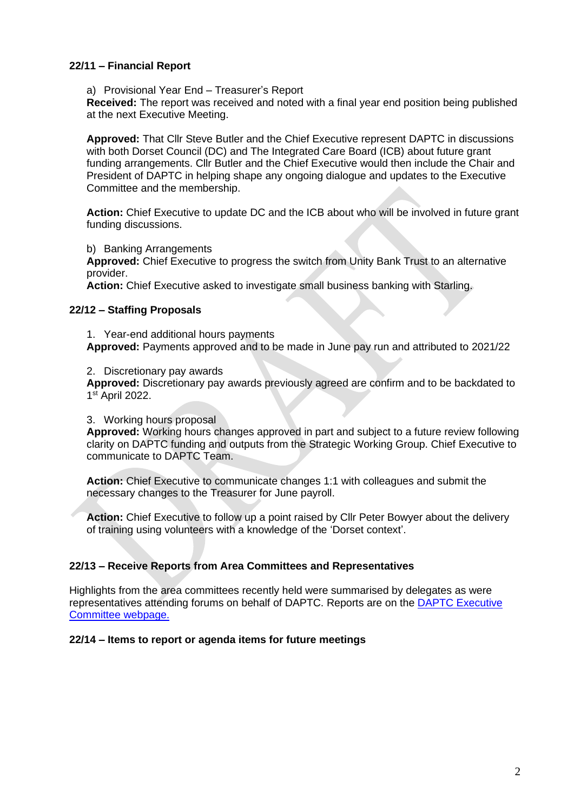#### **22/11 – Financial Report**

a) Provisional Year End – Treasurer's Report

**Received:** The report was received and noted with a final year end position being published at the next Executive Meeting.

**Approved:** That Cllr Steve Butler and the Chief Executive represent DAPTC in discussions with both Dorset Council (DC) and The Integrated Care Board (ICB) about future grant funding arrangements. Cllr Butler and the Chief Executive would then include the Chair and President of DAPTC in helping shape any ongoing dialogue and updates to the Executive Committee and the membership.

**Action:** Chief Executive to update DC and the ICB about who will be involved in future grant funding discussions.

b) Banking Arrangements

**Approved:** Chief Executive to progress the switch from Unity Bank Trust to an alternative provider.

**Action:** Chief Executive asked to investigate small business banking with Starling.

#### **22/12 – Staffing Proposals**

1. Year-end additional hours payments **Approved:** Payments approved and to be made in June pay run and attributed to 2021/22

2. Discretionary pay awards

**Approved:** Discretionary pay awards previously agreed are confirm and to be backdated to 1 st April 2022.

3. Working hours proposal

**Approved:** Working hours changes approved in part and subject to a future review following clarity on DAPTC funding and outputs from the Strategic Working Group. Chief Executive to communicate to DAPTC Team.

**Action:** Chief Executive to communicate changes 1:1 with colleagues and submit the necessary changes to the Treasurer for June payroll.

**Action:** Chief Executive to follow up a point raised by Cllr Peter Bowyer about the delivery of training using volunteers with a knowledge of the 'Dorset context'.

## **22/13 – Receive Reports from Area Committees and Representatives**

Highlights from the area committees recently held were summarised by delegates as were representatives attending forums on behalf of DAPTC. Reports are on the [DAPTC Executive](https://www.dorset-aptc.gov.uk/Executive_Committee_Meetings_27167.aspx)  [Committee webpage.](https://www.dorset-aptc.gov.uk/Executive_Committee_Meetings_27167.aspx)

#### **22/14 – Items to report or agenda items for future meetings**